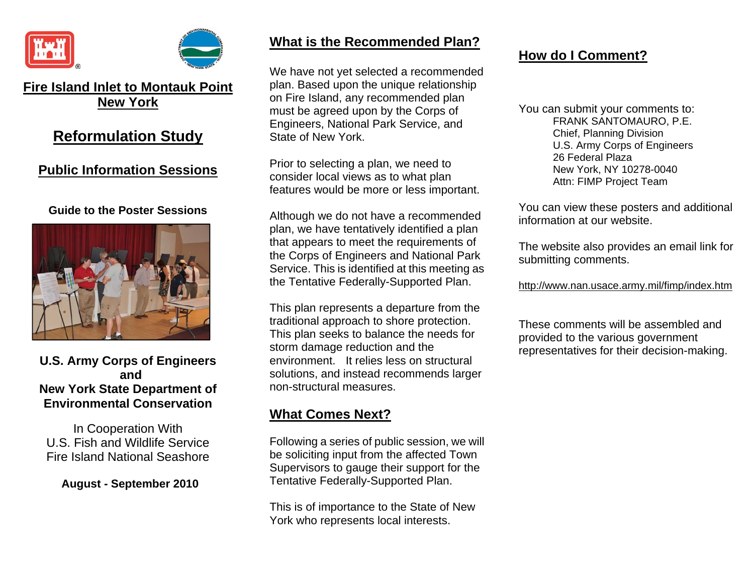



## **Fire Island Inlet to Montauk Point New York**

# **Reformulation Study**

## **Public Information Sessions**

### **Guide to the Poster Sessions**



### **U.S. Army Corps of Engineers and New York State Department of Environmental Conservation**

In Cooperation With U.S. Fish and Wildlife Service Fire Island National Seashore

**August - September 2010**

### **What is the Recommended Plan?**

We have not yet selected a recommended plan. Based upon the unique relationship on Fire Island, any recommended plan must be agreed upon by the Corps of Engineers, National Park Service, and State of New York.

Prior to selecting a plan, we need to consider local views as to what plan features would be more or less important.

Although we do not have a recommended plan, we have tentatively identified a plan that appears to meet the requirements of the Corps of Engineers and National Park Service. This is identified at this meeting as the Tentative Federally-Supported Plan.

This plan represents a departure from the traditional approach to shore protection. This plan seeks to balance the needs for storm damage reduction and the environment. It relies less on structural solutions, and instead recommends larger non-structural measures.

# **What Comes Next?**

Following a series of public session, we will be soliciting input from the affected Town Supervisors to gauge their support for the Tentative Federally-Supported Plan.

This is of importance to the State of New York who represents local interests.

## **How do I Comment?**

You can submit your comments to: FRANK SANTOMAURO, P.E. Chief, Planning Division U.S. Army Corps of Engineers 26 Federal Plaza New York, NY 10278-0040 Attn: FIMP Project Team

You can view these posters and additional information at our website.

The website also provides an email link for submitting comments.

http://www.nan.usace.army.mil/fimp/index.htm

These comments will be assembled and provided to the various government representatives for their decision-making.